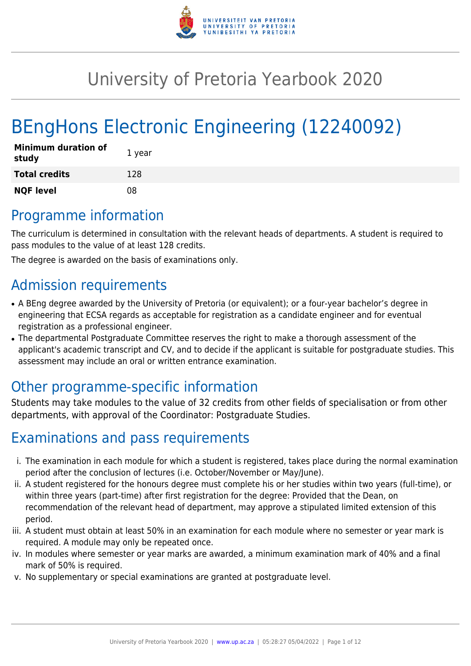

# University of Pretoria Yearbook 2020

# BEngHons Electronic Engineering (12240092)

| <b>Minimum duration of</b><br>study | 1 year |
|-------------------------------------|--------|
| <b>Total credits</b>                | 128    |
| <b>NQF level</b>                    | 08     |

# Programme information

The curriculum is determined in consultation with the relevant heads of departments. A student is required to pass modules to the value of at least 128 credits.

The degree is awarded on the basis of examinations only.

# Admission requirements

- A BEng degree awarded by the University of Pretoria (or equivalent); or a four-year bachelor's degree in engineering that ECSA regards as acceptable for registration as a candidate engineer and for eventual registration as a professional engineer.
- The departmental Postgraduate Committee reserves the right to make a thorough assessment of the applicant's academic transcript and CV, and to decide if the applicant is suitable for postgraduate studies. This assessment may include an oral or written entrance examination.

# Other programme-specific information

Students may take modules to the value of 32 credits from other fields of specialisation or from other departments, with approval of the Coordinator: Postgraduate Studies.

# Examinations and pass requirements

- i. The examination in each module for which a student is registered, takes place during the normal examination period after the conclusion of lectures (i.e. October/November or May/June).
- ii. A student registered for the honours degree must complete his or her studies within two years (full-time), or within three years (part-time) after first registration for the degree: Provided that the Dean, on recommendation of the relevant head of department, may approve a stipulated limited extension of this period.
- iii. A student must obtain at least 50% in an examination for each module where no semester or year mark is required. A module may only be repeated once.
- iv. In modules where semester or year marks are awarded, a minimum examination mark of 40% and a final mark of 50% is required.
- v. No supplementary or special examinations are granted at postgraduate level.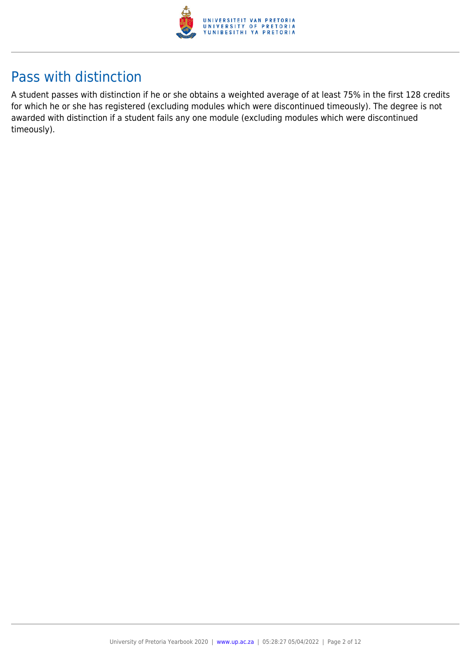

# Pass with distinction

A student passes with distinction if he or she obtains a weighted average of at least 75% in the first 128 credits for which he or she has registered (excluding modules which were discontinued timeously). The degree is not awarded with distinction if a student fails any one module (excluding modules which were discontinued timeously).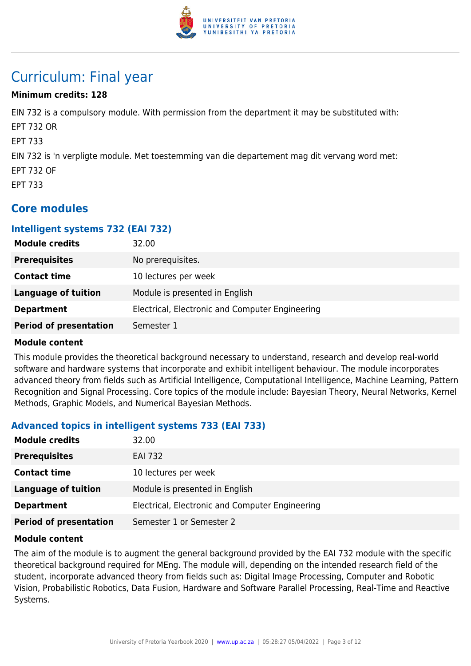

# Curriculum: Final year

# **Minimum credits: 128**

EIN 732 is a compulsory module. With permission from the department it may be substituted with: EPT 732 OR EPT 733 EIN 732 is 'n verpligte module. Met toestemming van die departement mag dit vervang word met: EPT 732 OF EPT 733

# **Core modules**

#### **Intelligent systems 732 (EAI 732)**

| <b>Module credits</b>         | 32.00                                           |
|-------------------------------|-------------------------------------------------|
| <b>Prerequisites</b>          | No prerequisites.                               |
| <b>Contact time</b>           | 10 lectures per week                            |
| Language of tuition           | Module is presented in English                  |
| <b>Department</b>             | Electrical, Electronic and Computer Engineering |
| <b>Period of presentation</b> | Semester 1                                      |

#### **Module content**

This module provides the theoretical background necessary to understand, research and develop real-world software and hardware systems that incorporate and exhibit intelligent behaviour. The module incorporates advanced theory from fields such as Artificial Intelligence, Computational Intelligence, Machine Learning, Pattern Recognition and Signal Processing. Core topics of the module include: Bayesian Theory, Neural Networks, Kernel Methods, Graphic Models, and Numerical Bayesian Methods.

# **Advanced topics in intelligent systems 733 (EAI 733)**

| <b>Module credits</b>         | 32.00                                           |
|-------------------------------|-------------------------------------------------|
| <b>Prerequisites</b>          | <b>EAI 732</b>                                  |
| <b>Contact time</b>           | 10 lectures per week                            |
| <b>Language of tuition</b>    | Module is presented in English                  |
| <b>Department</b>             | Electrical, Electronic and Computer Engineering |
| <b>Period of presentation</b> | Semester 1 or Semester 2                        |

#### **Module content**

The aim of the module is to augment the general background provided by the EAI 732 module with the specific theoretical background required for MEng. The module will, depending on the intended research field of the student, incorporate advanced theory from fields such as: Digital Image Processing, Computer and Robotic Vision, Probabilistic Robotics, Data Fusion, Hardware and Software Parallel Processing, Real-Time and Reactive Systems.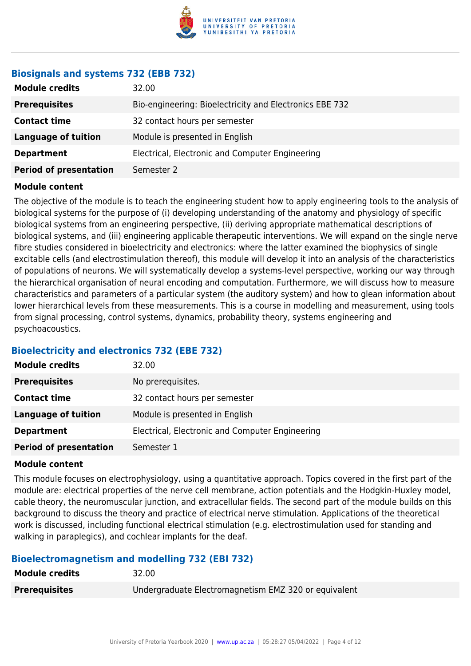

# **Biosignals and systems 732 (EBB 732)**

| <b>Module credits</b>         | 32.00                                                   |
|-------------------------------|---------------------------------------------------------|
| <b>Prerequisites</b>          | Bio-engineering: Bioelectricity and Electronics EBE 732 |
| <b>Contact time</b>           | 32 contact hours per semester                           |
| <b>Language of tuition</b>    | Module is presented in English                          |
| <b>Department</b>             | Electrical, Electronic and Computer Engineering         |
| <b>Period of presentation</b> | Semester 2                                              |

#### **Module content**

The objective of the module is to teach the engineering student how to apply engineering tools to the analysis of biological systems for the purpose of (i) developing understanding of the anatomy and physiology of specific biological systems from an engineering perspective, (ii) deriving appropriate mathematical descriptions of biological systems, and (iii) engineering applicable therapeutic interventions. We will expand on the single nerve fibre studies considered in bioelectricity and electronics: where the latter examined the biophysics of single excitable cells (and electrostimulation thereof), this module will develop it into an analysis of the characteristics of populations of neurons. We will systematically develop a systems-level perspective, working our way through the hierarchical organisation of neural encoding and computation. Furthermore, we will discuss how to measure characteristics and parameters of a particular system (the auditory system) and how to glean information about lower hierarchical levels from these measurements. This is a course in modelling and measurement, using tools from signal processing, control systems, dynamics, probability theory, systems engineering and psychoacoustics.

# **Bioelectricity and electronics 732 (EBE 732)**

| <b>Module credits</b>         | 32.00                                           |
|-------------------------------|-------------------------------------------------|
| <b>Prerequisites</b>          | No prerequisites.                               |
| <b>Contact time</b>           | 32 contact hours per semester                   |
| Language of tuition           | Module is presented in English                  |
| <b>Department</b>             | Electrical, Electronic and Computer Engineering |
| <b>Period of presentation</b> | Semester 1                                      |

#### **Module content**

This module focuses on electrophysiology, using a quantitative approach. Topics covered in the first part of the module are: electrical properties of the nerve cell membrane, action potentials and the Hodgkin-Huxley model, cable theory, the neuromuscular junction, and extracellular fields. The second part of the module builds on this background to discuss the theory and practice of electrical nerve stimulation. Applications of the theoretical work is discussed, including functional electrical stimulation (e.g. electrostimulation used for standing and walking in paraplegics), and cochlear implants for the deaf.

# **Bioelectromagnetism and modelling 732 (EBI 732)**

| <b>Module credits</b> | 32.00                                                |
|-----------------------|------------------------------------------------------|
| <b>Prerequisites</b>  | Undergraduate Electromagnetism EMZ 320 or equivalent |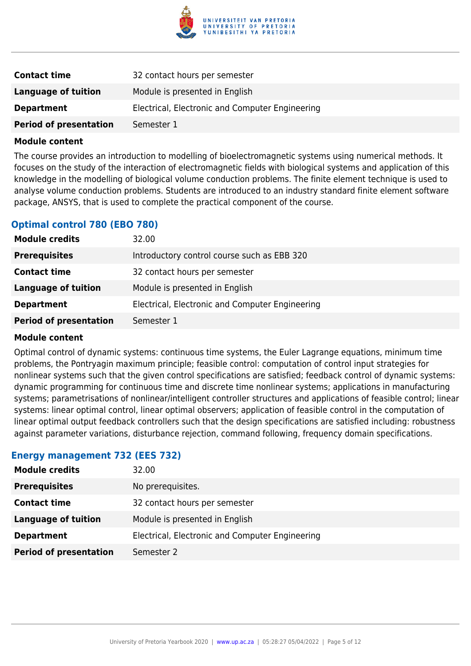

| <b>Contact time</b>           | 32 contact hours per semester                   |
|-------------------------------|-------------------------------------------------|
| Language of tuition           | Module is presented in English                  |
| <b>Department</b>             | Electrical, Electronic and Computer Engineering |
| <b>Period of presentation</b> | Semester 1                                      |

The course provides an introduction to modelling of bioelectromagnetic systems using numerical methods. It focuses on the study of the interaction of electromagnetic fields with biological systems and application of this knowledge in the modelling of biological volume conduction problems. The finite element technique is used to analyse volume conduction problems. Students are introduced to an industry standard finite element software package, ANSYS, that is used to complete the practical component of the course.

#### **Optimal control 780 (EBO 780)**

| <b>Module credits</b>         | 32.00                                           |
|-------------------------------|-------------------------------------------------|
| <b>Prerequisites</b>          | Introductory control course such as EBB 320     |
| <b>Contact time</b>           | 32 contact hours per semester                   |
| <b>Language of tuition</b>    | Module is presented in English                  |
| <b>Department</b>             | Electrical, Electronic and Computer Engineering |
| <b>Period of presentation</b> | Semester 1                                      |

#### **Module content**

Optimal control of dynamic systems: continuous time systems, the Euler Lagrange equations, minimum time problems, the Pontryagin maximum principle; feasible control: computation of control input strategies for nonlinear systems such that the given control specifications are satisfied; feedback control of dynamic systems: dynamic programming for continuous time and discrete time nonlinear systems; applications in manufacturing systems; parametrisations of nonlinear/intelligent controller structures and applications of feasible control; linear systems: linear optimal control, linear optimal observers; application of feasible control in the computation of linear optimal output feedback controllers such that the design specifications are satisfied including: robustness against parameter variations, disturbance rejection, command following, frequency domain specifications.

#### **Energy management 732 (EES 732)**

| <b>Module credits</b>         | 32.00                                           |
|-------------------------------|-------------------------------------------------|
| <b>Prerequisites</b>          | No prerequisites.                               |
| <b>Contact time</b>           | 32 contact hours per semester                   |
| <b>Language of tuition</b>    | Module is presented in English                  |
| <b>Department</b>             | Electrical, Electronic and Computer Engineering |
| <b>Period of presentation</b> | Semester 2                                      |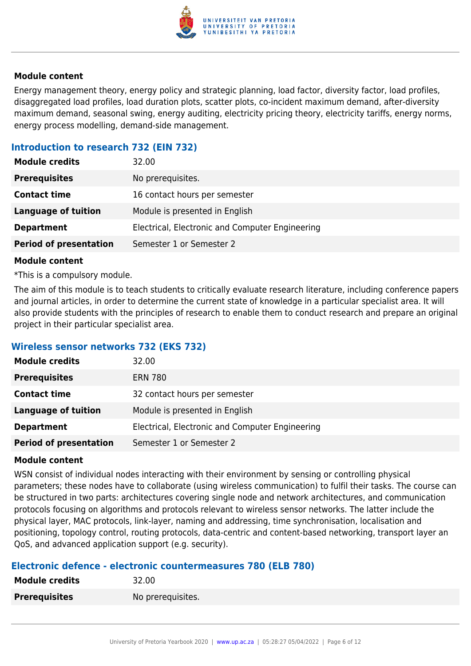

Energy management theory, energy policy and strategic planning, load factor, diversity factor, load profiles, disaggregated load profiles, load duration plots, scatter plots, co-incident maximum demand, after-diversity maximum demand, seasonal swing, energy auditing, electricity pricing theory, electricity tariffs, energy norms, energy process modelling, demand-side management.

### **Introduction to research 732 (EIN 732)**

| <b>Module credits</b>         | 32.00                                           |
|-------------------------------|-------------------------------------------------|
| <b>Prerequisites</b>          | No prerequisites.                               |
| <b>Contact time</b>           | 16 contact hours per semester                   |
| <b>Language of tuition</b>    | Module is presented in English                  |
| <b>Department</b>             | Electrical, Electronic and Computer Engineering |
| <b>Period of presentation</b> | Semester 1 or Semester 2                        |

#### **Module content**

\*This is a compulsory module.

The aim of this module is to teach students to critically evaluate research literature, including conference papers and journal articles, in order to determine the current state of knowledge in a particular specialist area. It will also provide students with the principles of research to enable them to conduct research and prepare an original project in their particular specialist area.

#### **Wireless sensor networks 732 (EKS 732)**

| <b>Module credits</b>         | 32.00                                           |
|-------------------------------|-------------------------------------------------|
| <b>Prerequisites</b>          | <b>ERN 780</b>                                  |
| <b>Contact time</b>           | 32 contact hours per semester                   |
| <b>Language of tuition</b>    | Module is presented in English                  |
| <b>Department</b>             | Electrical, Electronic and Computer Engineering |
| <b>Period of presentation</b> | Semester 1 or Semester 2                        |

#### **Module content**

WSN consist of individual nodes interacting with their environment by sensing or controlling physical parameters; these nodes have to collaborate (using wireless communication) to fulfil their tasks. The course can be structured in two parts: architectures covering single node and network architectures, and communication protocols focusing on algorithms and protocols relevant to wireless sensor networks. The latter include the physical layer, MAC protocols, link-layer, naming and addressing, time synchronisation, localisation and positioning, topology control, routing protocols, data-centric and content-based networking, transport layer an QoS, and advanced application support (e.g. security).

#### **Electronic defence - electronic countermeasures 780 (ELB 780)**

| <b>Module credits</b> | 32.00             |
|-----------------------|-------------------|
| <b>Prerequisites</b>  | No prerequisites. |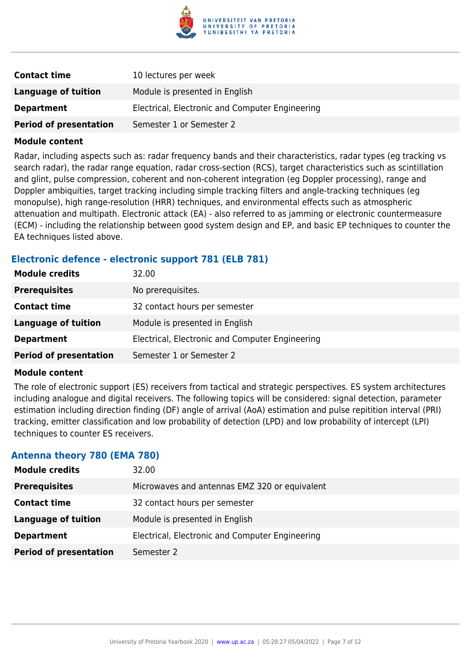

| <b>Contact time</b>           | 10 lectures per week                            |
|-------------------------------|-------------------------------------------------|
| Language of tuition           | Module is presented in English                  |
| <b>Department</b>             | Electrical, Electronic and Computer Engineering |
| <b>Period of presentation</b> | Semester 1 or Semester 2                        |

Radar, including aspects such as: radar frequency bands and their characteristics, radar types (eg tracking vs search radar), the radar range equation, radar cross-section (RCS), target characteristics such as scintillation and glint, pulse compression, coherent and non-coherent integration (eg Doppler processing), range and Doppler ambiquities, target tracking including simple tracking filters and angle-tracking techniques (eg monopulse), high range-resolution (HRR) techniques, and environmental effects such as atmospheric attenuation and multipath. Electronic attack (EA) - also referred to as jamming or electronic countermeasure (ECM) - including the relationship between good system design and EP, and basic EP techniques to counter the EA techniques listed above.

#### **Electronic defence - electronic support 781 (ELB 781)**

| <b>Module credits</b>         | 32.00                                           |
|-------------------------------|-------------------------------------------------|
| <b>Prerequisites</b>          | No prerequisites.                               |
| <b>Contact time</b>           | 32 contact hours per semester                   |
| <b>Language of tuition</b>    | Module is presented in English                  |
| <b>Department</b>             | Electrical, Electronic and Computer Engineering |
| <b>Period of presentation</b> | Semester 1 or Semester 2                        |

#### **Module content**

The role of electronic support (ES) receivers from tactical and strategic perspectives. ES system architectures including analogue and digital receivers. The following topics will be considered: signal detection, parameter estimation including direction finding (DF) angle of arrival (AoA) estimation and pulse repitition interval (PRI) tracking, emitter classification and low probability of detection (LPD) and low probability of intercept (LPI) techniques to counter ES receivers.

#### **Antenna theory 780 (EMA 780)**

| <b>Module credits</b>         | 32.00                                           |
|-------------------------------|-------------------------------------------------|
| <b>Prerequisites</b>          | Microwaves and antennas EMZ 320 or equivalent   |
| <b>Contact time</b>           | 32 contact hours per semester                   |
| <b>Language of tuition</b>    | Module is presented in English                  |
| <b>Department</b>             | Electrical, Electronic and Computer Engineering |
| <b>Period of presentation</b> | Semester 2                                      |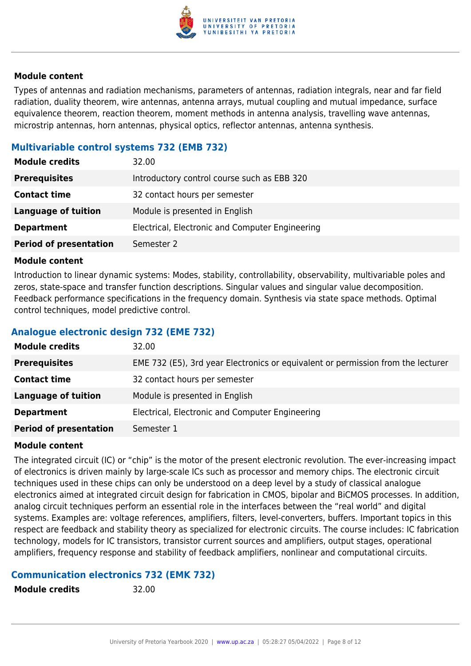

Types of antennas and radiation mechanisms, parameters of antennas, radiation integrals, near and far field radiation, duality theorem, wire antennas, antenna arrays, mutual coupling and mutual impedance, surface equivalence theorem, reaction theorem, moment methods in antenna analysis, travelling wave antennas, microstrip antennas, horn antennas, physical optics, reflector antennas, antenna synthesis.

# **Multivariable control systems 732 (EMB 732)**

| <b>Module credits</b>         | 32.00                                           |
|-------------------------------|-------------------------------------------------|
| <b>Prerequisites</b>          | Introductory control course such as EBB 320     |
| <b>Contact time</b>           | 32 contact hours per semester                   |
| <b>Language of tuition</b>    | Module is presented in English                  |
| <b>Department</b>             | Electrical, Electronic and Computer Engineering |
| <b>Period of presentation</b> | Semester 2                                      |

#### **Module content**

Introduction to linear dynamic systems: Modes, stability, controllability, observability, multivariable poles and zeros, state-space and transfer function descriptions. Singular values and singular value decomposition. Feedback performance specifications in the frequency domain. Synthesis via state space methods. Optimal control techniques, model predictive control.

#### **Analogue electronic design 732 (EME 732)**

| <b>Module credits</b>         | 32.00                                                                            |
|-------------------------------|----------------------------------------------------------------------------------|
| <b>Prerequisites</b>          | EME 732 (E5), 3rd year Electronics or equivalent or permission from the lecturer |
| <b>Contact time</b>           | 32 contact hours per semester                                                    |
| <b>Language of tuition</b>    | Module is presented in English                                                   |
| <b>Department</b>             | Electrical, Electronic and Computer Engineering                                  |
| <b>Period of presentation</b> | Semester 1                                                                       |

#### **Module content**

The integrated circuit (IC) or "chip" is the motor of the present electronic revolution. The ever-increasing impact of electronics is driven mainly by large-scale ICs such as processor and memory chips. The electronic circuit techniques used in these chips can only be understood on a deep level by a study of classical analogue electronics aimed at integrated circuit design for fabrication in CMOS, bipolar and BiCMOS processes. In addition, analog circuit techniques perform an essential role in the interfaces between the "real world" and digital systems. Examples are: voltage references, amplifiers, filters, level-converters, buffers. Important topics in this respect are feedback and stability theory as specialized for electronic circuits. The course includes: IC fabrication technology, models for IC transistors, transistor current sources and amplifiers, output stages, operational amplifiers, frequency response and stability of feedback amplifiers, nonlinear and computational circuits.

# **Communication electronics 732 (EMK 732)**

**Module credits** 32.00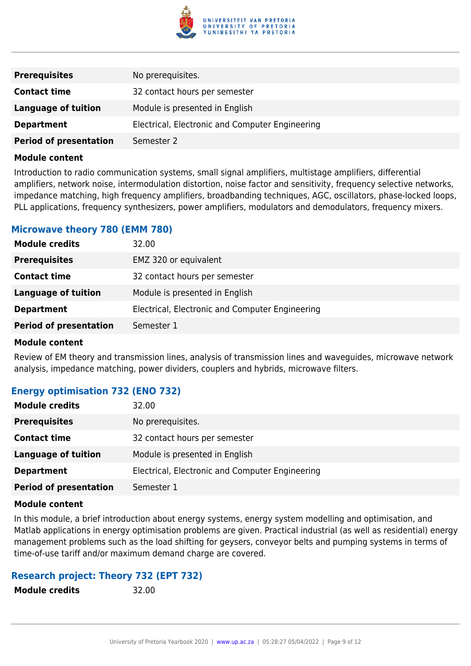

| <b>Prerequisites</b>          | No prerequisites.                               |
|-------------------------------|-------------------------------------------------|
| <b>Contact time</b>           | 32 contact hours per semester                   |
| Language of tuition           | Module is presented in English                  |
| <b>Department</b>             | Electrical, Electronic and Computer Engineering |
| <b>Period of presentation</b> | Semester 2                                      |

Introduction to radio communication systems, small signal amplifiers, multistage amplifiers, differential amplifiers, network noise, intermodulation distortion, noise factor and sensitivity, frequency selective networks, impedance matching, high frequency amplifiers, broadbanding techniques, AGC, oscillators, phase-locked loops, PLL applications, frequency synthesizers, power amplifiers, modulators and demodulators, frequency mixers.

#### **Microwave theory 780 (EMM 780)**

| <b>Module credits</b>         | 32.00                                           |
|-------------------------------|-------------------------------------------------|
| <b>Prerequisites</b>          | EMZ 320 or equivalent                           |
| <b>Contact time</b>           | 32 contact hours per semester                   |
| <b>Language of tuition</b>    | Module is presented in English                  |
| <b>Department</b>             | Electrical, Electronic and Computer Engineering |
| <b>Period of presentation</b> | Semester 1                                      |

#### **Module content**

Review of EM theory and transmission lines, analysis of transmission lines and waveguides, microwave network analysis, impedance matching, power dividers, couplers and hybrids, microwave filters.

# **Energy optimisation 732 (ENO 732)**

| <b>Module credits</b>         | 32.00                                           |
|-------------------------------|-------------------------------------------------|
| <b>Prerequisites</b>          | No prerequisites.                               |
| <b>Contact time</b>           | 32 contact hours per semester                   |
| Language of tuition           | Module is presented in English                  |
| <b>Department</b>             | Electrical, Electronic and Computer Engineering |
| <b>Period of presentation</b> | Semester 1                                      |

#### **Module content**

In this module, a brief introduction about energy systems, energy system modelling and optimisation, and Matlab applications in energy optimisation problems are given. Practical industrial (as well as residential) energy management problems such as the load shifting for geysers, conveyor belts and pumping systems in terms of time-of-use tariff and/or maximum demand charge are covered.

# **Research project: Theory 732 (EPT 732)**

**Module credits** 32.00

University of Pretoria Yearbook 2020 | [www.up.ac.za](https://www.up.ac.za/yearbooks/home) | 05:28:27 05/04/2022 | Page 9 of 12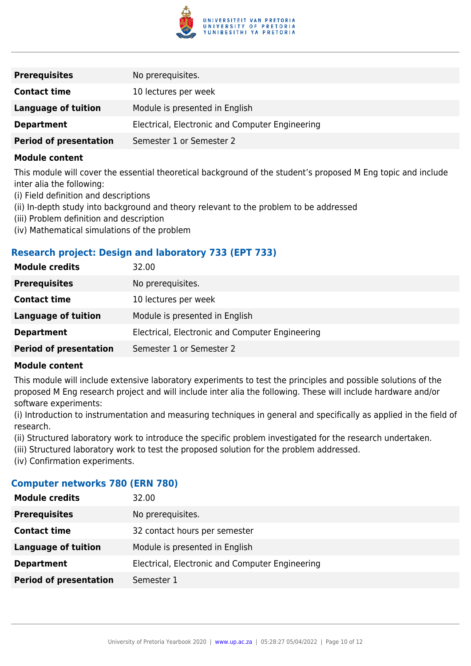

| <b>Prerequisites</b>          | No prerequisites.                               |
|-------------------------------|-------------------------------------------------|
| <b>Contact time</b>           | 10 lectures per week                            |
| <b>Language of tuition</b>    | Module is presented in English                  |
| <b>Department</b>             | Electrical, Electronic and Computer Engineering |
| <b>Period of presentation</b> | Semester 1 or Semester 2                        |

This module will cover the essential theoretical background of the student's proposed M Eng topic and include inter alia the following:

- (i) Field definition and descriptions
- (ii) In-depth study into background and theory relevant to the problem to be addressed
- (iii) Problem definition and description
- (iv) Mathematical simulations of the problem

#### **Research project: Design and laboratory 733 (EPT 733)**

| <b>Module credits</b>         | 32.00                                           |
|-------------------------------|-------------------------------------------------|
| <b>Prerequisites</b>          | No prerequisites.                               |
| <b>Contact time</b>           | 10 lectures per week                            |
| <b>Language of tuition</b>    | Module is presented in English                  |
| <b>Department</b>             | Electrical, Electronic and Computer Engineering |
| <b>Period of presentation</b> | Semester 1 or Semester 2                        |

#### **Module content**

This module will include extensive laboratory experiments to test the principles and possible solutions of the proposed M Eng research project and will include inter alia the following. These will include hardware and/or software experiments:

(i) Introduction to instrumentation and measuring techniques in general and specifically as applied in the field of research.

(ii) Structured laboratory work to introduce the specific problem investigated for the research undertaken.

- (iii) Structured laboratory work to test the proposed solution for the problem addressed.
- (iv) Confirmation experiments.

#### **Computer networks 780 (ERN 780)**

| <b>Module credits</b>         | 32.00                                           |
|-------------------------------|-------------------------------------------------|
| <b>Prerequisites</b>          | No prerequisites.                               |
| <b>Contact time</b>           | 32 contact hours per semester                   |
| <b>Language of tuition</b>    | Module is presented in English                  |
| <b>Department</b>             | Electrical, Electronic and Computer Engineering |
| <b>Period of presentation</b> | Semester 1                                      |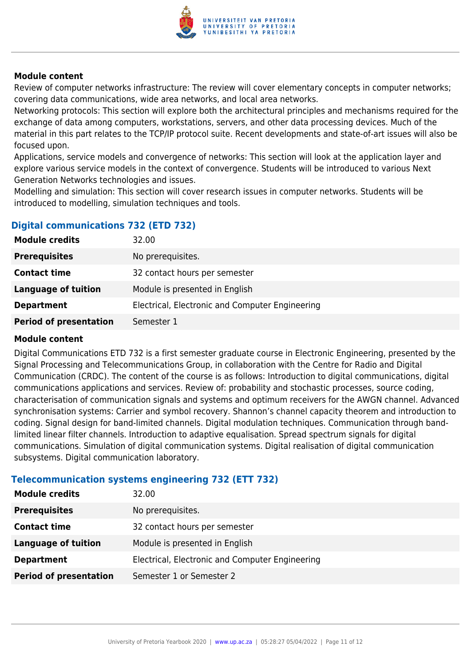

Review of computer networks infrastructure: The review will cover elementary concepts in computer networks; covering data communications, wide area networks, and local area networks.

Networking protocols: This section will explore both the architectural principles and mechanisms required for the exchange of data among computers, workstations, servers, and other data processing devices. Much of the material in this part relates to the TCP/IP protocol suite. Recent developments and state-of-art issues will also be focused upon.

Applications, service models and convergence of networks: This section will look at the application layer and explore various service models in the context of convergence. Students will be introduced to various Next Generation Networks technologies and issues.

Modelling and simulation: This section will cover research issues in computer networks. Students will be introduced to modelling, simulation techniques and tools.

# **Digital communications 732 (ETD 732)**

| <b>Module credits</b>         | 32.00                                           |
|-------------------------------|-------------------------------------------------|
| <b>Prerequisites</b>          | No prerequisites.                               |
| <b>Contact time</b>           | 32 contact hours per semester                   |
| <b>Language of tuition</b>    | Module is presented in English                  |
| <b>Department</b>             | Electrical, Electronic and Computer Engineering |
| <b>Period of presentation</b> | Semester 1                                      |

### **Module content**

Digital Communications ETD 732 is a first semester graduate course in Electronic Engineering, presented by the Signal Processing and Telecommunications Group, in collaboration with the Centre for Radio and Digital Communication (CRDC). The content of the course is as follows: Introduction to digital communications, digital communications applications and services. Review of: probability and stochastic processes, source coding, characterisation of communication signals and systems and optimum receivers for the AWGN channel. Advanced synchronisation systems: Carrier and symbol recovery. Shannon's channel capacity theorem and introduction to coding. Signal design for band-limited channels. Digital modulation techniques. Communication through bandlimited linear filter channels. Introduction to adaptive equalisation. Spread spectrum signals for digital communications. Simulation of digital communication systems. Digital realisation of digital communication subsystems. Digital communication laboratory.

# **Telecommunication systems engineering 732 (ETT 732)**

| <b>Module credits</b>         | 32.00                                           |
|-------------------------------|-------------------------------------------------|
| <b>Prerequisites</b>          | No prerequisites.                               |
| <b>Contact time</b>           | 32 contact hours per semester                   |
| <b>Language of tuition</b>    | Module is presented in English                  |
| <b>Department</b>             | Electrical, Electronic and Computer Engineering |
| <b>Period of presentation</b> | Semester 1 or Semester 2                        |
|                               |                                                 |